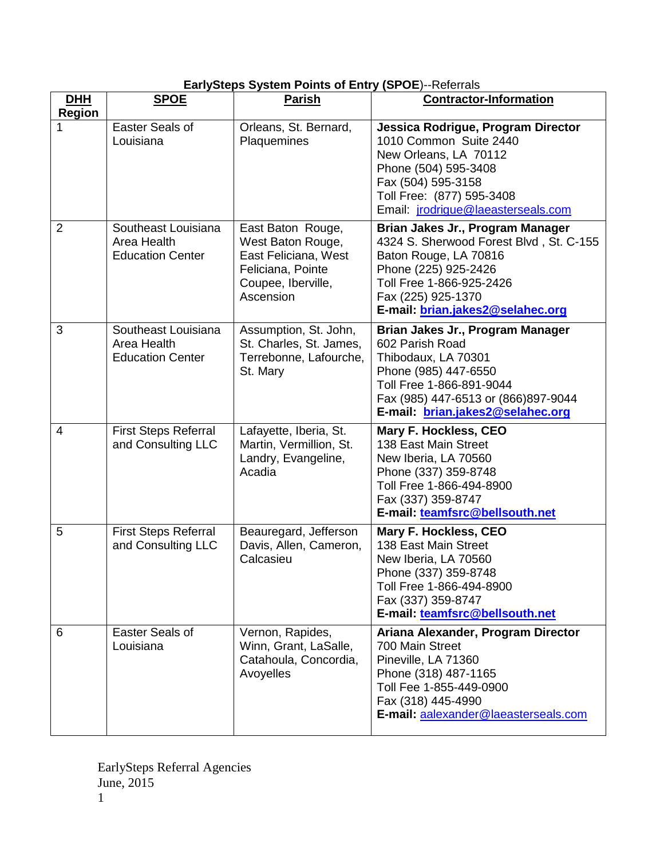|  |  |  |  |  |  |  | EarlySteps System Points of Entry (SPOE)--Referrals |
|--|--|--|--|--|--|--|-----------------------------------------------------|
|--|--|--|--|--|--|--|-----------------------------------------------------|

| <b>DHH</b><br><b>Region</b> | <b>SPOE</b>                                                   | <b>Parish</b>                                                                                                          | <b>Contractor-Information</b>                                                                                                                                                                                      |
|-----------------------------|---------------------------------------------------------------|------------------------------------------------------------------------------------------------------------------------|--------------------------------------------------------------------------------------------------------------------------------------------------------------------------------------------------------------------|
|                             | Easter Seals of<br>Louisiana                                  | Orleans, St. Bernard,<br>Plaquemines                                                                                   | Jessica Rodrigue, Program Director<br>1010 Common Suite 2440<br>New Orleans, LA 70112<br>Phone (504) 595-3408<br>Fax (504) 595-3158<br>Toll Free: (877) 595-3408<br>Email: jrodrigue@laeasterseals.com             |
| $\overline{2}$              | Southeast Louisiana<br>Area Health<br><b>Education Center</b> | East Baton Rouge,<br>West Baton Rouge,<br>East Feliciana, West<br>Feliciana, Pointe<br>Coupee, Iberville,<br>Ascension | Brian Jakes Jr., Program Manager<br>4324 S. Sherwood Forest Blvd, St. C-155<br>Baton Rouge, LA 70816<br>Phone (225) 925-2426<br>Toll Free 1-866-925-2426<br>Fax (225) 925-1370<br>E-mail: brian.jakes2@selahec.org |
| 3                           | Southeast Louisiana<br>Area Health<br><b>Education Center</b> | Assumption, St. John,<br>St. Charles, St. James,<br>Terrebonne, Lafourche,<br>St. Mary                                 | Brian Jakes Jr., Program Manager<br>602 Parish Road<br>Thibodaux, LA 70301<br>Phone (985) 447-6550<br>Toll Free 1-866-891-9044<br>Fax (985) 447-6513 or (866) 897-9044<br>E-mail: brian.jakes2@selahec.org         |
| $\overline{4}$              | <b>First Steps Referral</b><br>and Consulting LLC             | Lafayette, Iberia, St.<br>Martin, Vermillion, St.<br>Landry, Evangeline,<br>Acadia                                     | <b>Mary F. Hockless, CEO</b><br>138 East Main Street<br>New Iberia, LA 70560<br>Phone (337) 359-8748<br>Toll Free 1-866-494-8900<br>Fax (337) 359-8747<br>E-mail: teamfsrc@bellsouth.net                           |
| 5                           | <b>First Steps Referral</b><br>and Consulting LLC             | Beauregard, Jefferson<br>Davis, Allen, Cameron,<br>Calcasieu                                                           | <b>Mary F. Hockless, CEO</b><br>138 East Main Street<br>New Iberia, LA 70560<br>Phone (337) 359-8748<br>Toll Free 1-866-494-8900<br>Fax (337) 359-8747<br>E-mail: teamfsrc@bellsouth.net                           |
| 6                           | Easter Seals of<br>Louisiana                                  | Vernon, Rapides,<br>Winn, Grant, LaSalle,<br>Catahoula, Concordia,<br>Avoyelles                                        | Ariana Alexander, Program Director<br>700 Main Street<br>Pineville, LA 71360<br>Phone (318) 487-1165<br>Toll Fee 1-855-449-0900<br>Fax (318) 445-4990<br>E-mail: aalexander@laeasterseals.com                      |